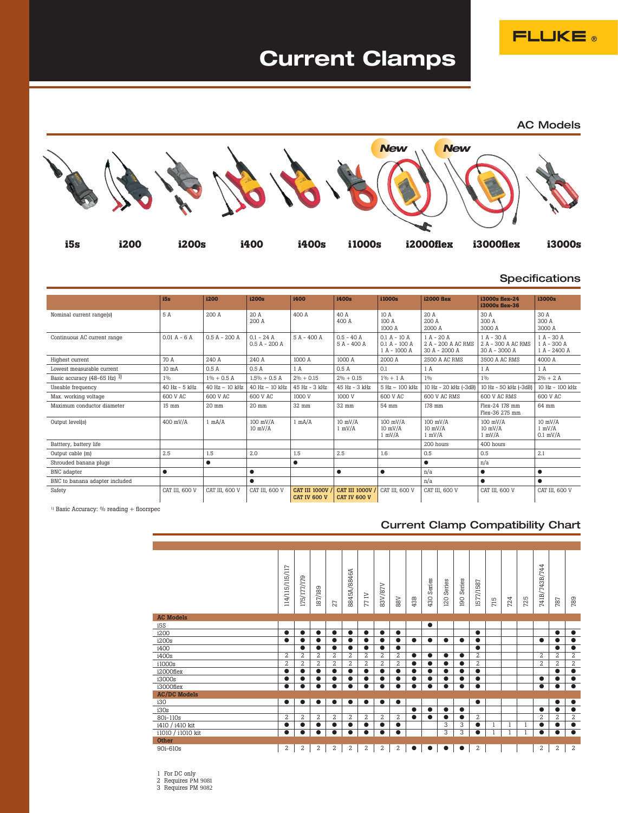**FLUKE** 

# **Current Clamps**



#### **Specifications**

|                                                  | i5s              | i200            | i200s                           | i400                          | i400s                                | i1000s                                            | <b>i2000 flex</b>                                     | i3000s flex-24<br>i3000s flex-36                    | i3000s                                        |
|--------------------------------------------------|------------------|-----------------|---------------------------------|-------------------------------|--------------------------------------|---------------------------------------------------|-------------------------------------------------------|-----------------------------------------------------|-----------------------------------------------|
| Nominal current range(s)                         | 5 A              | 200A            | 20A<br>200 A                    | 400 A                         | 40 A<br>400 A                        | 10A<br>100 A<br>1000 A                            | 20 A<br>200A<br>2000 A                                | 30 A<br>300 A<br>3000 A                             | 30 A<br>300 A<br>3000 A                       |
| Continuous AC current range                      | $0.01 A - 6 A$   | $0.5 A - 200 A$ | $0.1 - 24$ A<br>$0.5 A - 200 A$ | $5A - 400A$                   | $0.5 - 40$ A<br>5 A - 400 A          | $0.1 A - 10 A$<br>$0.1 A - 100 A$<br>1 A - 1000 A | $1 A - 20 A$<br>2 A - 200 A AC RMS<br>30 A - 2000 A   | $1 A - 30 A$<br>2 A - 300 A AC RMS<br>30 A - 3000 A | $1 A - 30 A$<br>$1 A - 300 A$<br>1 A - 2400 A |
| Highest current                                  | 70 A             | 240 A           | 240 A                           | 1000 A                        | 1000 A                               | 2000 A                                            | 2500 A AC RMS                                         | 3500 A AC RMS                                       | 4000 A                                        |
| Lowest measurable current                        | 10 <sub>m</sub>  | 0.5A            | 0.5 A                           | 1 A                           | 0.5A                                 | 0.1                                               | 1 A                                                   | 1 A                                                 | 1A                                            |
| Basic accuracy $(48-65 \text{ Hz})$ <sup>1</sup> | 1%               | $1\% + 0.5$ A   | $1.5\% + 0.5$ A                 | $2\% + 0.15$                  | $2\% + 0.15$                         | $1\% + 1$ A                                       | 1%                                                    | 1%                                                  | $2\% + 2A$                                    |
| Useable frequency                                | $40$ Hz $-5$ kHz | 40 Hz - 10 kHz  | 40 Hz - 10 kHz                  | 45 Hz - 3 kHz                 | 45 Hz - 3 kHz                        | 5 Hz - 100 kHz                                    | 10 Hz - 20 kHz (-3dB)                                 | 10 Hz - 50 kHz (-3dB)                               | 10 Hz - 100 kHz                               |
| Max. working voltage                             | 600 V AC         | 600 V AC        | 600 V AC                        | 1000 V                        | 1000 V                               | 600 V AC                                          | 600 V AC RMS                                          | 600 V AC RMS                                        | 600 V AC                                      |
| Maximum conductor diameter                       | 15 mm            | 20 mm           | 20 mm                           | 32 mm                         | 32 mm                                | 54 mm                                             | 178 mm                                                | Flex-24 178 mm<br>Flex-36 275 mm                    | 64 mm                                         |
| Output level(s)                                  | 400 mV/A         | 1 mA/A          | $100$ mV/A<br>$10$ mV/ $A$      | $1 \text{ mA/A}$              | $10$ mV/ $A$<br>$1 \text{ mV/A}$     | $100$ mV/A<br>$10$ mV/ $\AA$<br>$1 \text{ mV/A}$  | $100$ mV/ $\AA$<br>$10$ mV/ $\AA$<br>$1 \text{ mV/A}$ | $100$ mV/A<br>$10$ mV/ $A$<br>$1 \text{ mV/A}$      | $10$ mV/A<br>$1 \text{ mV/A}$<br>$0.1$ mV/A   |
| Batttery, battery life                           |                  |                 |                                 |                               |                                      |                                                   | 200 hours                                             | 400 hours                                           |                                               |
| Output cable (m)                                 | 2.5              | $1.5\,$         | 2.0                             | 1.5                           | 2.5                                  | 1.6                                               | 0.5                                                   | 0.5                                                 | 2.1                                           |
| Shrouded banana plugs                            |                  | $\bullet$       |                                 | $\bullet$                     |                                      |                                                   | $\bullet$                                             | n/a                                                 |                                               |
| BNC adapter                                      | $\bullet$        |                 | $\bullet$                       |                               | $\bullet$                            | $\bullet$                                         | n/a                                                   | $\bullet$                                           | $\bullet$                                     |
| BNC to banana adapter included                   |                  |                 | $\bullet$                       |                               |                                      |                                                   | n/a                                                   | ●                                                   | $\bullet$                                     |
| Safety                                           | CAT III, 600 V   | CAT III, 600 V  | CAT III, 600 V                  | CAT III 1000V<br>CAT IV 600 V | CAT III 1000V<br><b>CAT IV 600 V</b> | CAT III, 600 V                                    | CAT III, 600 V                                        | CAT III, 600 V                                      | CAT III, 600 V                                |

 $^{\rm 1)}$  Basic Accuracy:  $\%$  reading + floorspec

### Current Clamp Compatibility Chart

|                     | 114/115/115/117 | 175/177/179    | 187/189        | 27             | 8845A/8846A    | 77 IV          | 83V/87V        | 88V            | 43B       | Series<br>430 | Series<br>120 | Series<br>190 | 1577/1587      | 715 | 724 | 725          | 741B/743B/744    | 787            | 789            |
|---------------------|-----------------|----------------|----------------|----------------|----------------|----------------|----------------|----------------|-----------|---------------|---------------|---------------|----------------|-----|-----|--------------|------------------|----------------|----------------|
| <b>AC Models</b>    |                 |                |                |                |                |                |                |                |           |               |               |               |                |     |     |              |                  |                |                |
| i5S                 |                 |                |                |                |                |                |                |                |           | $\bullet$     |               |               |                |     |     |              |                  |                |                |
| i200                |                 | $\bullet$      | $\bullet$      | $\bullet$      |                | $\bullet$      | $\bullet$      | $\bullet$      |           |               |               |               | $\bullet$      |     |     |              |                  | $\bullet$      | $\bullet$      |
| i200s               |                 | $\bullet$      | ●              | $\bullet$      |                | $\bullet$      | $\bullet$      | $\bullet$      | $\bullet$ | $\bullet$     | $\bullet$     | $\bullet$     | ●              |     |     |              | $\bullet$        |                | $\bullet$      |
| i400                |                 | $\bullet$      | $\bullet$      | $\bullet$      | $\bullet$      | $\bullet$      | $\bullet$      | $\bullet$      |           |               |               |               | $\bullet$      |     |     |              |                  | $\bullet$      | $\bullet$      |
| i400s               | $\overline{2}$  | $\overline{2}$ | $\overline{2}$ | $\overline{a}$ | $\overline{a}$ | 2              | 2              | $\overline{a}$ | $\bullet$ | $\bullet$     | $\bullet$     | $\bullet$     | $\overline{2}$ |     |     |              | $\boldsymbol{2}$ | $\overline{2}$ | 2              |
| i1000s              | $\overline{2}$  | $\overline{a}$ | $\overline{a}$ | $\overline{a}$ | $\overline{a}$ | 2              | $\overline{a}$ | 2              | $\bullet$ | $\bullet$     | $\bullet$     | $\bullet$     | $\overline{a}$ |     |     |              | $\overline{2}$   | $\overline{a}$ | $\overline{2}$ |
| i2000flex           |                 | $\bullet$      | $\bullet$      | $\bullet$      | $\bullet$      | $\bullet$      | $\bullet$      | $\bullet$      | $\bullet$ | $\bullet$     | $\bullet$     | $\bullet$     | $\bullet$      |     |     |              |                  | $\bullet$      | $\bullet$      |
| i3000s              |                 | $\bullet$      |                | $\bullet$      |                |                |                | $\bullet$      | ●         |               | $\bullet$     |               | ●              |     |     |              | $\bullet$        |                | $\bullet$      |
| i3000flex           | $\bullet$       | $\bullet$      | $\bullet$      | $\bullet$      | $\bullet$      | $\bullet$      | $\bullet$      | $\bullet$      | $\bullet$ | $\bullet$     | $\bullet$     | $\bullet$     | $\bullet$      |     |     |              | $\bullet$        | $\bullet$      | $\bullet$      |
| <b>AC/DC Models</b> |                 |                |                |                |                |                |                |                |           |               |               |               |                |     |     |              |                  |                |                |
| i30                 | $\bullet$       | $\bullet$      | $\bullet$      | $\bullet$      | $\bullet$      | $\bullet$      | $\bullet$      | $\bullet$      |           |               |               |               | $\bullet$      |     |     |              |                  | $\bullet$      | $\bullet$      |
| i30s                |                 |                |                |                |                |                |                |                | $\bullet$ | $\bullet$     | $\bullet$     | $\bullet$     |                |     |     |              | $\bullet$        | $\bullet$      | $\bullet$      |
| 80i-110s            | $\overline{2}$  | $\overline{a}$ | $\overline{a}$ | 2              | 2              | $\overline{2}$ | 2              | 2              | $\bullet$ | $\bullet$     | $\bullet$     | $\bullet$     | $\overline{a}$ |     |     |              | $\overline{2}$   | $\overline{a}$ | $\overline{2}$ |
| i410 / i410 kit     |                 | $\bullet$      |                | $\bullet$      |                |                | $\bullet$      | $\bullet$      |           |               | 3             | 3             | $\bullet$      |     |     | 1            | $\bullet$        |                | $\bullet$      |
| i1010 / i1010 kit   | $\bullet$       | $\bullet$      | $\bullet$      | $\bullet$      | $\bullet$      | $\bullet$      | $\bullet$      | $\bullet$      |           |               | 3             | 3             | $\bullet$      |     |     | $\mathbf{1}$ | $\bullet$        | $\bullet$      | $\bullet$      |
| Other               |                 |                |                |                |                |                |                |                |           |               |               |               |                |     |     |              |                  |                |                |
| 90i-610s            | 2               | 2              | 2              | 2              | 2              | 2              | 2              | 2              | $\bullet$ | $\bullet$     | $\bullet$     | $\bullet$     | 2              |     |     |              | 2                | 2              | $\overline{2}$ |

1 For DC only 2 Requires PM 9081 3 Requires PM 9082